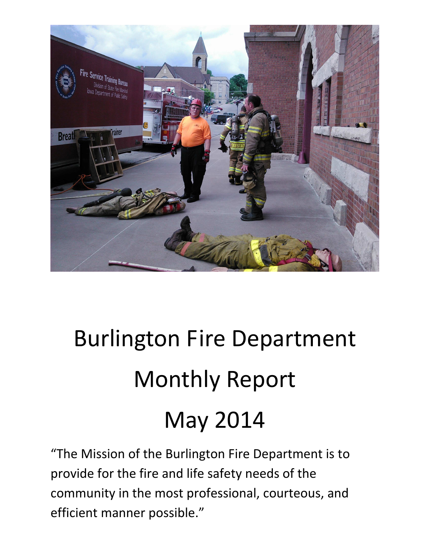

# Burlington Fire Department Monthly Report May 2014

"The Mission of the Burlington Fire Department is to provide for the fire and life safety needs of the community in the most professional, courteous, and efficient manner possible."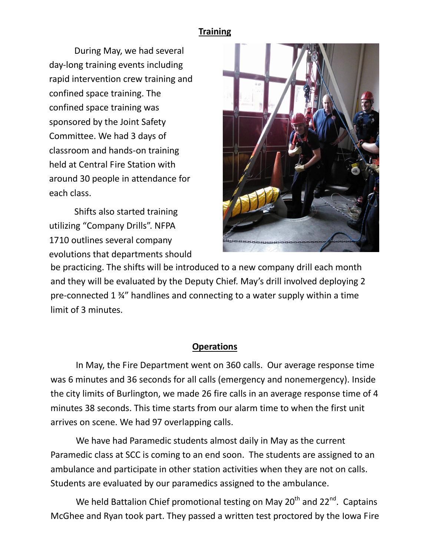#### **Training**

During May, we had several day-long training events including rapid intervention crew training and confined space training. The confined space training was sponsored by the Joint Safety Committee. We had 3 days of classroom and hands-on training held at Central Fire Station with around 30 people in attendance for each class.

 evolutions that departments shouldShifts also started training utilizing "Company Drills". NFPA 1710 outlines several company



be practicing. The shifts will be introduced to a new company drill each month and they will be evaluated by the Deputy Chief. May's drill involved deploying 2 pre-connected 1 ¾" handlines and connecting to a water supply within a time limit of 3 minutes.

#### **Operations**

In May, the Fire Department went on 360 calls. Our average response time was 6 minutes and 36 seconds for all calls (emergency and nonemergency). Inside the city limits of Burlington, we made 26 fire calls in an average response time of 4 minutes 38 seconds. This time starts from our alarm time to when the first unit arrives on scene. We had 97 overlapping calls.

We have had Paramedic students almost daily in May as the current Paramedic class at SCC is coming to an end soon. The students are assigned to an ambulance and participate in other station activities when they are not on calls. Students are evaluated by our paramedics assigned to the ambulance.

We held Battalion Chief promotional testing on May  $20<sup>th</sup>$  and  $22<sup>nd</sup>$ . Captains McGhee and Ryan took part. They passed a written test proctored by the Iowa Fire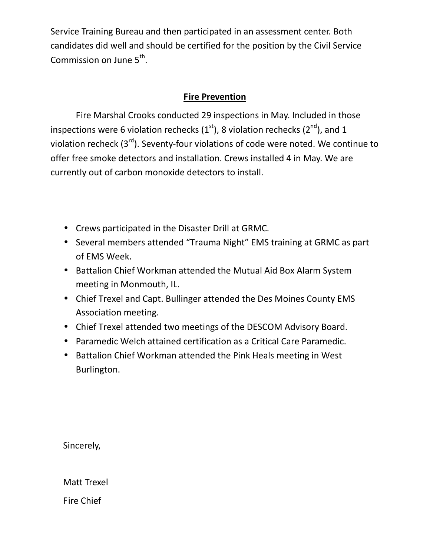Service Training Bureau and then participated in an assessment center. Both candidates did well and should be certified for the position by the Civil Service Commission on June  $5^{\text{th}}$ .

#### **Fire Prevention**

 Fire Marshal Crooks conducted 29 inspections in May. Included in those inspections were 6 violation rechecks  $(1<sup>st</sup>)$ , 8 violation rechecks  $(2<sup>nd</sup>)$ , and 1 violation recheck  $(3^{rd})$ . Seventy-four violations of code were noted. We continue to offer free smoke detectors and installation. Crews installed 4 in May. We are currently out of carbon monoxide detectors to install.

- Crews participated in the Disaster Drill at GRMC.
- Several members attended "Trauma Night" EMS training at GRMC as part of EMS Week.
- Battalion Chief Workman attended the Mutual Aid Box Alarm System meeting in Monmouth, IL.
- Chief Trexel and Capt. Bullinger attended the Des Moines County EMS Association meeting.
- Chief Trexel attended two meetings of the DESCOM Advisory Board.
- Paramedic Welch attained certification as a Critical Care Paramedic.
- Battalion Chief Workman attended the Pink Heals meeting in West Burlington.

Sincerely,

Matt Trexel

Fire Chief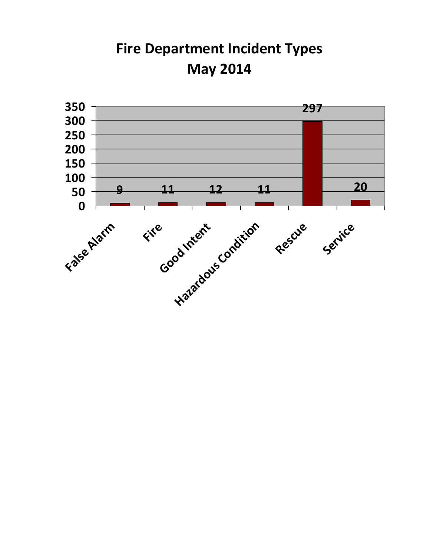**Fire Department Incident Types May 2014**

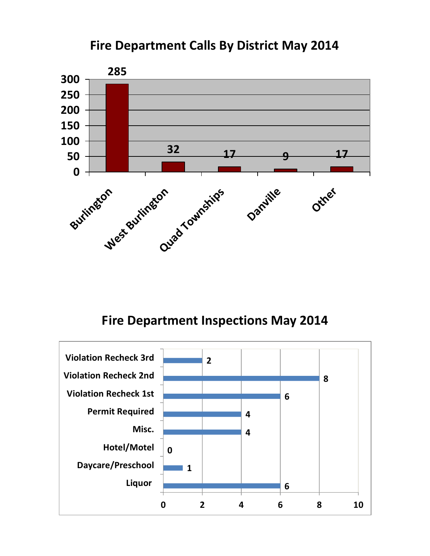## **Fire Department Calls By District May 2014**



## **Fire Department Inspections May 2014**